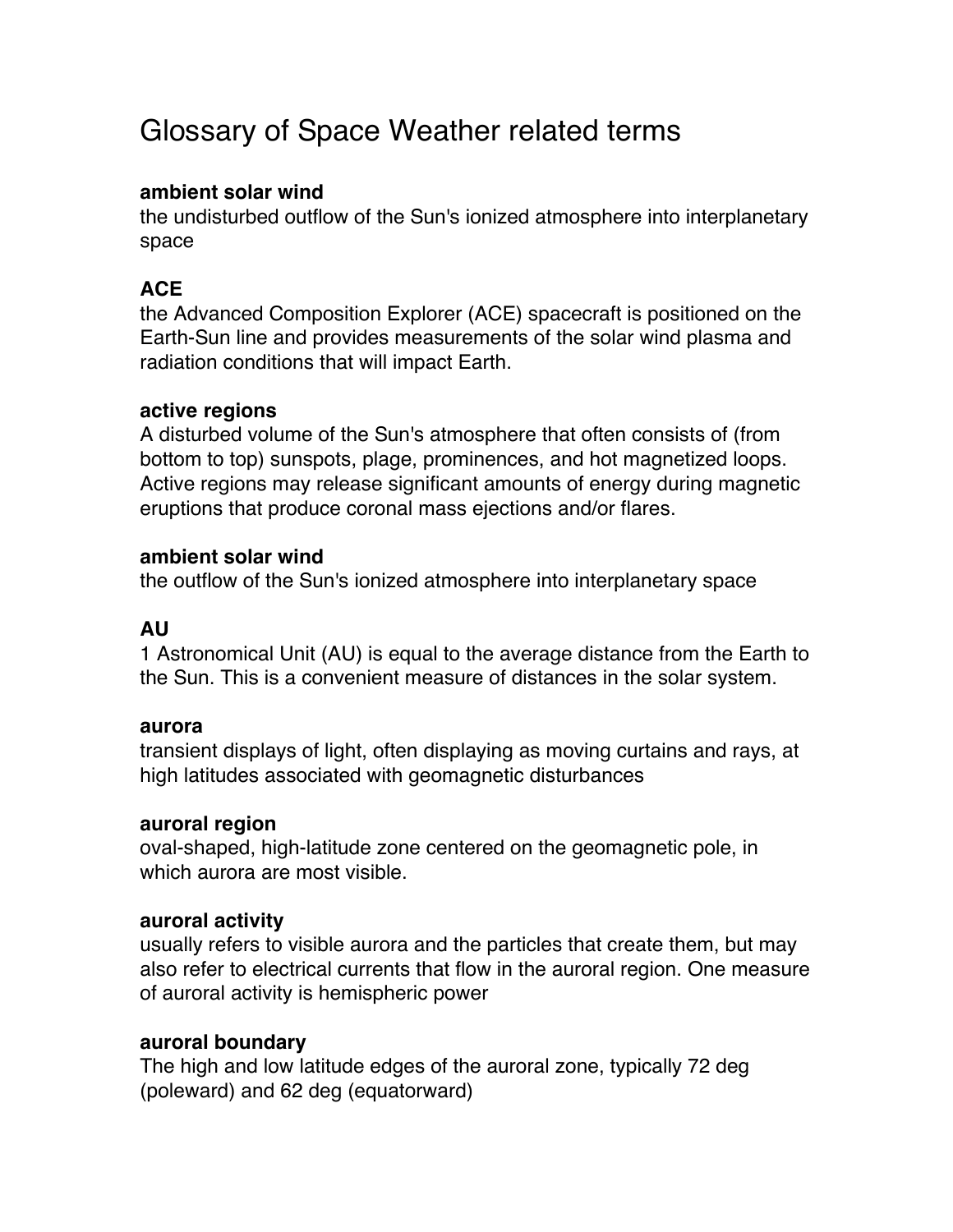# Glossary of Space Weather related terms

#### **ambient solar wind**

the undisturbed outflow of the Sun's ionized atmosphere into interplanetary space

# **ACE**

the Advanced Composition Explorer (ACE) spacecraft is positioned on the Earth-Sun line and provides measurements of the solar wind plasma and radiation conditions that will impact Earth.

#### **active regions**

A disturbed volume of the Sun's atmosphere that often consists of (from bottom to top) sunspots, plage, prominences, and hot magnetized loops. Active regions may release significant amounts of energy during magnetic eruptions that produce coronal mass ejections and/or flares.

#### **ambient solar wind**

the outflow of the Sun's ionized atmosphere into interplanetary space

## **AU**

1 Astronomical Unit (AU) is equal to the average distance from the Earth to the Sun. This is a convenient measure of distances in the solar system.

#### **aurora**

transient displays of light, often displaying as moving curtains and rays, at high latitudes associated with geomagnetic disturbances

#### **auroral region**

oval-shaped, high-latitude zone centered on the geomagnetic pole, in which aurora are most visible.

#### **auroral activity**

usually refers to visible aurora and the particles that create them, but may also refer to electrical currents that flow in the auroral region. One measure of auroral activity is hemispheric power

#### **auroral boundary**

The high and low latitude edges of the auroral zone, typically 72 deg (poleward) and 62 deg (equatorward)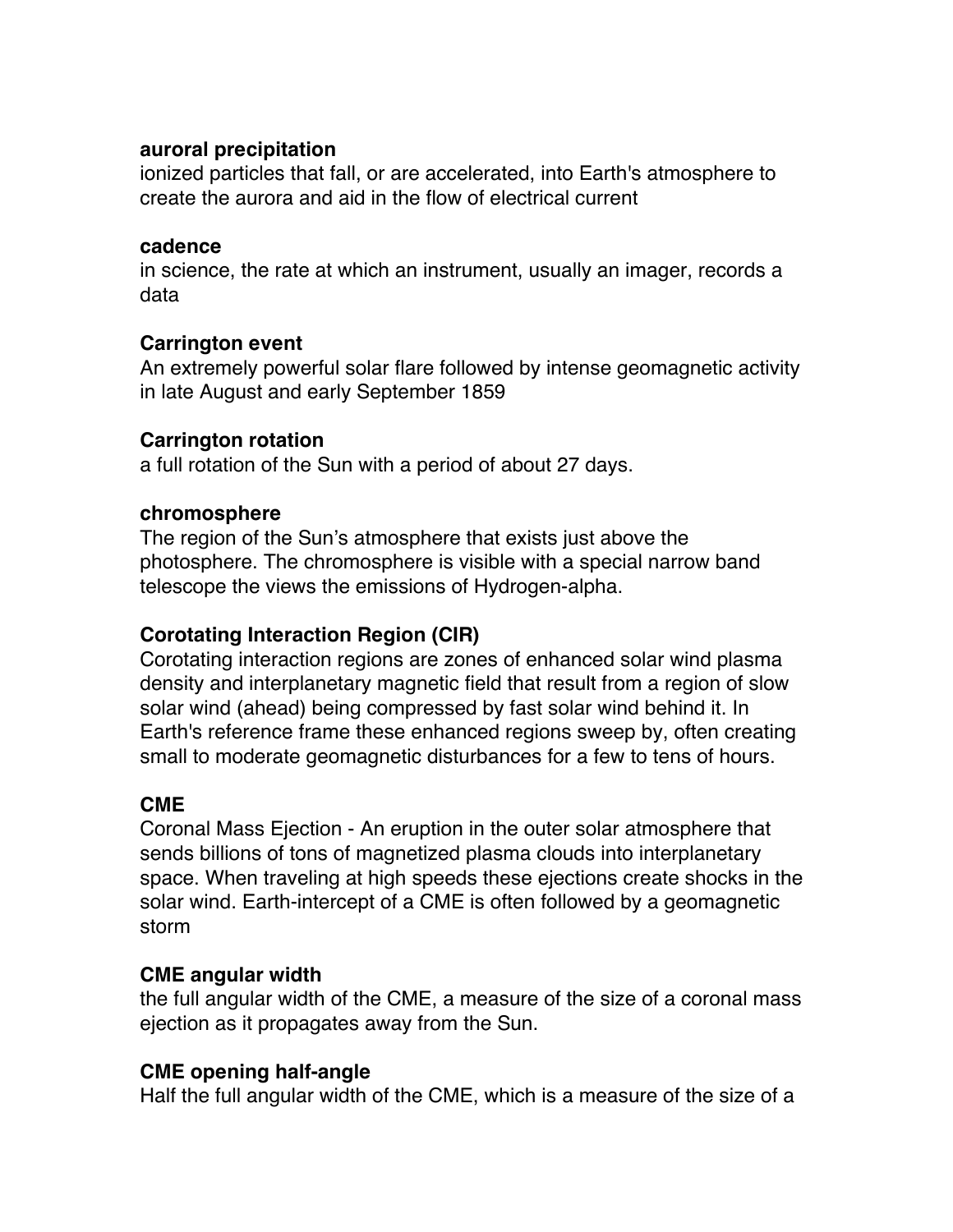#### **auroral precipitation**

ionized particles that fall, or are accelerated, into Earth's atmosphere to create the aurora and aid in the flow of electrical current

#### **cadence**

in science, the rate at which an instrument, usually an imager, records a data

# **Carrington event**

An extremely powerful solar flare followed by intense geomagnetic activity in late August and early September 1859

# **Carrington rotation**

a full rotation of the Sun with a period of about 27 days.

## **chromosphere**

The region of the Sun's atmosphere that exists just above the photosphere. The chromosphere is visible with a special narrow band telescope the views the emissions of Hydrogen-alpha.

# **Corotating Interaction Region (CIR)**

Corotating interaction regions are zones of enhanced solar wind plasma density and interplanetary magnetic field that result from a region of slow solar wind (ahead) being compressed by fast solar wind behind it. In Earth's reference frame these enhanced regions sweep by, often creating small to moderate geomagnetic disturbances for a few to tens of hours.

# **CME**

Coronal Mass Ejection - An eruption in the outer solar atmosphere that sends billions of tons of magnetized plasma clouds into interplanetary space. When traveling at high speeds these ejections create shocks in the solar wind. Earth-intercept of a CME is often followed by a geomagnetic storm

## **CME angular width**

the full angular width of the CME, a measure of the size of a coronal mass ejection as it propagates away from the Sun.

# **CME opening half-angle**

Half the full angular width of the CME, which is a measure of the size of a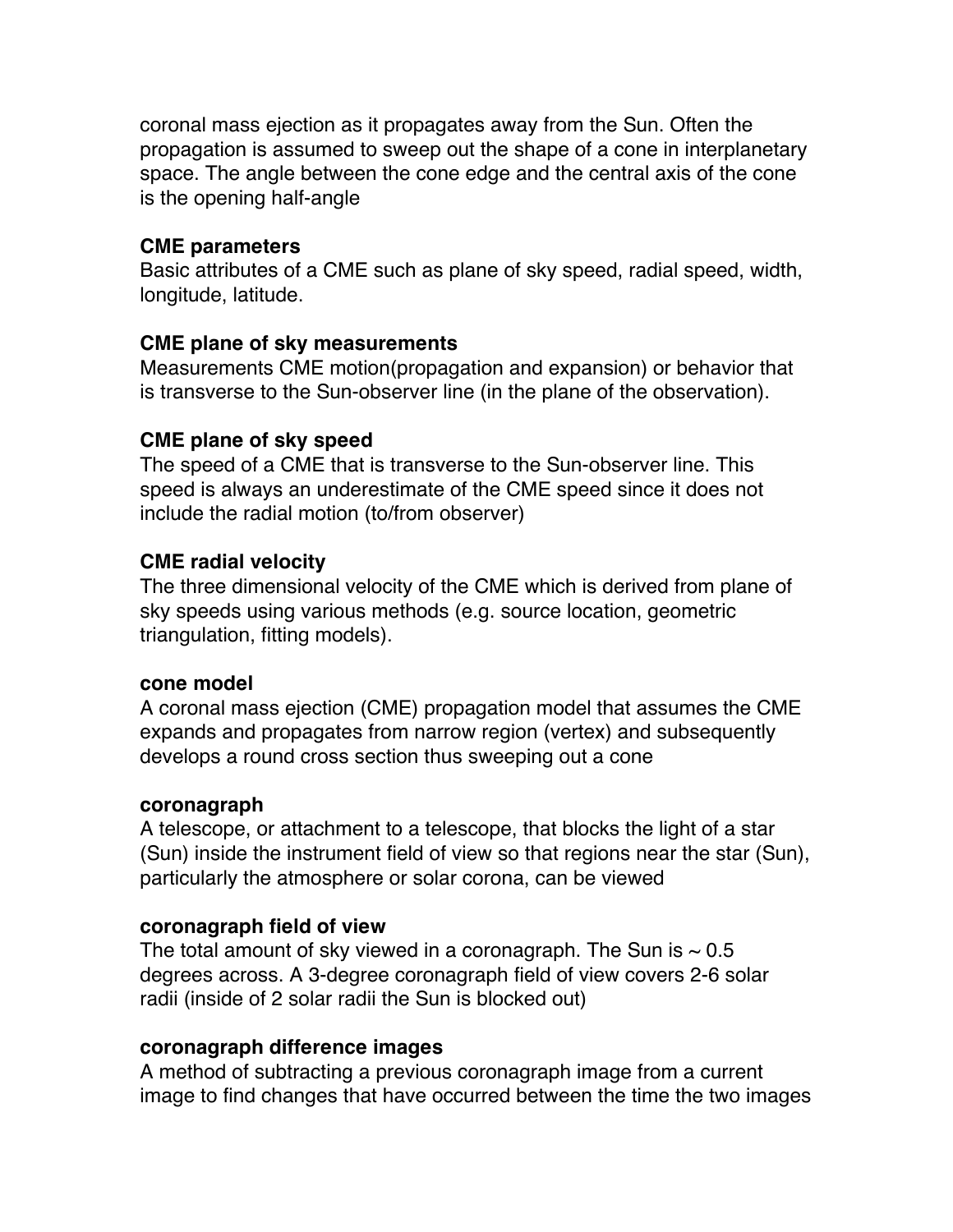coronal mass ejection as it propagates away from the Sun. Often the propagation is assumed to sweep out the shape of a cone in interplanetary space. The angle between the cone edge and the central axis of the cone is the opening half-angle

#### **CME parameters**

Basic attributes of a CME such as plane of sky speed, radial speed, width, longitude, latitude.

#### **CME plane of sky measurements**

Measurements CME motion(propagation and expansion) or behavior that is transverse to the Sun-observer line (in the plane of the observation).

## **CME plane of sky speed**

The speed of a CME that is transverse to the Sun-observer line. This speed is always an underestimate of the CME speed since it does not include the radial motion (to/from observer)

## **CME radial velocity**

The three dimensional velocity of the CME which is derived from plane of sky speeds using various methods (e.g. source location, geometric triangulation, fitting models).

#### **cone model**

A coronal mass ejection (CME) propagation model that assumes the CME expands and propagates from narrow region (vertex) and subsequently develops a round cross section thus sweeping out a cone

#### **coronagraph**

A telescope, or attachment to a telescope, that blocks the light of a star (Sun) inside the instrument field of view so that regions near the star (Sun), particularly the atmosphere or solar corona, can be viewed

## **coronagraph field of view**

The total amount of sky viewed in a coronagraph. The Sun is  $\sim 0.5$ degrees across. A 3-degree coronagraph field of view covers 2-6 solar radii (inside of 2 solar radii the Sun is blocked out)

## **coronagraph difference images**

A method of subtracting a previous coronagraph image from a current image to find changes that have occurred between the time the two images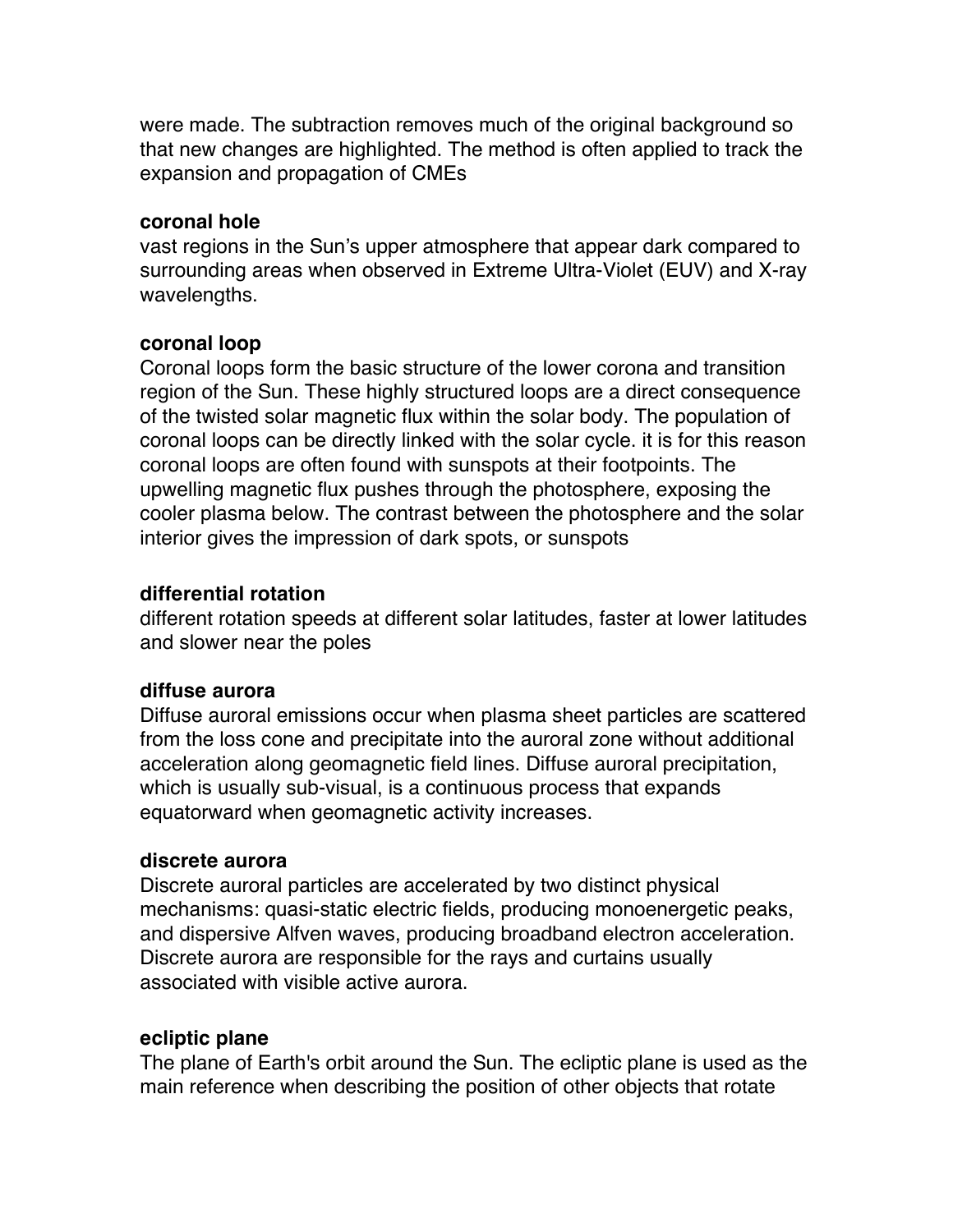were made. The subtraction removes much of the original background so that new changes are highlighted. The method is often applied to track the expansion and propagation of CMEs

#### **coronal hole**

vast regions in the Sun's upper atmosphere that appear dark compared to surrounding areas when observed in Extreme Ultra-Violet (EUV) and X-ray wavelengths.

#### **coronal loop**

Coronal loops form the basic structure of the lower corona and transition region of the Sun. These highly structured loops are a direct consequence of the twisted solar magnetic flux within the solar body. The population of coronal loops can be directly linked with the solar cycle. it is for this reason coronal loops are often found with sunspots at their footpoints. The upwelling magnetic flux pushes through the photosphere, exposing the cooler plasma below. The contrast between the photosphere and the solar interior gives the impression of dark spots, or sunspots

#### **differential rotation**

different rotation speeds at different solar latitudes, faster at lower latitudes and slower near the poles

#### **diffuse aurora**

Diffuse auroral emissions occur when plasma sheet particles are scattered from the loss cone and precipitate into the auroral zone without additional acceleration along geomagnetic field lines. Diffuse auroral precipitation, which is usually sub-visual, is a continuous process that expands equatorward when geomagnetic activity increases.

#### **discrete aurora**

Discrete auroral particles are accelerated by two distinct physical mechanisms: quasi-static electric fields, producing monoenergetic peaks, and dispersive Alfven waves, producing broadband electron acceleration. Discrete aurora are responsible for the rays and curtains usually associated with visible active aurora.

#### **ecliptic plane**

The plane of Earth's orbit around the Sun. The ecliptic plane is used as the main reference when describing the position of other objects that rotate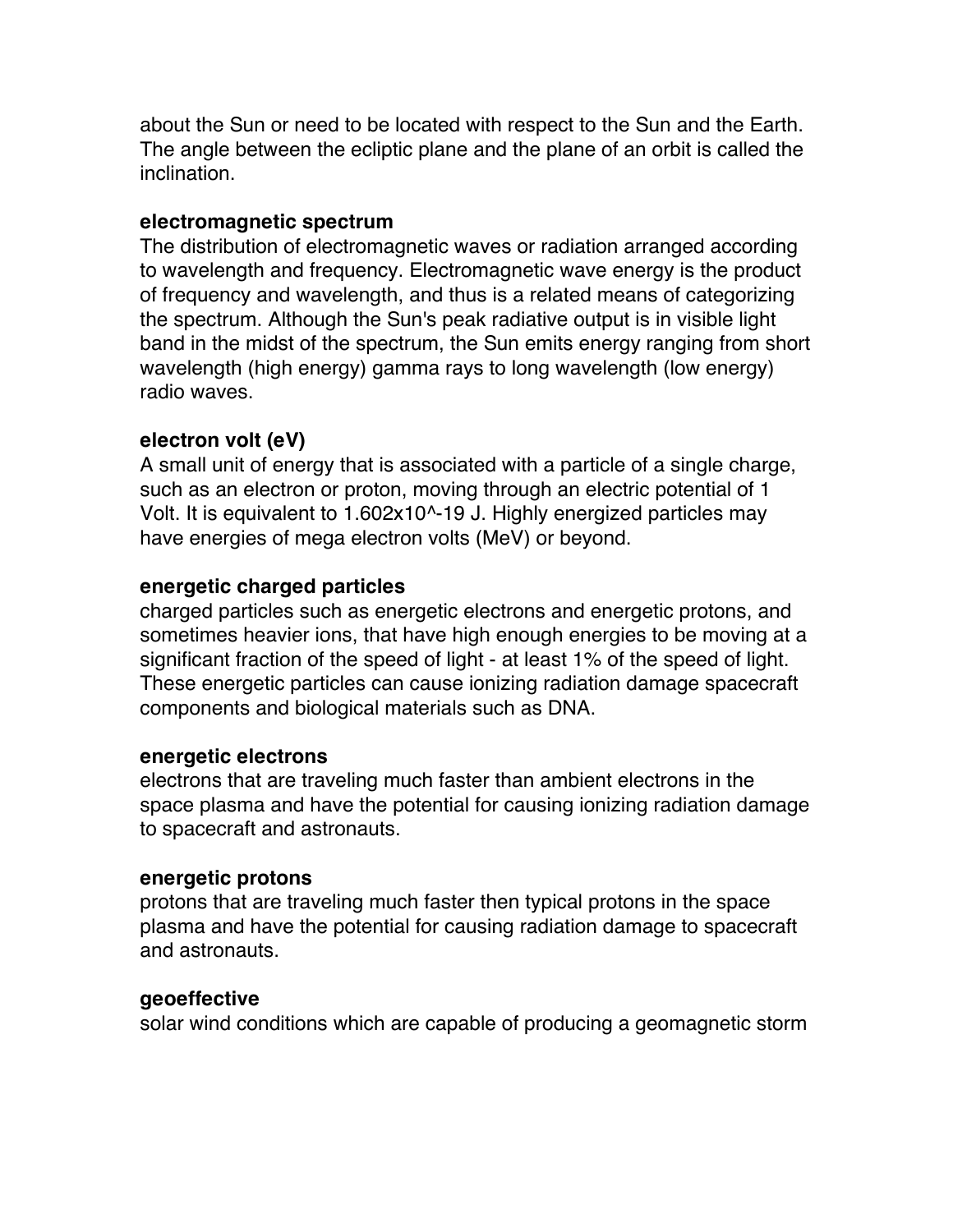about the Sun or need to be located with respect to the Sun and the Earth. The angle between the ecliptic plane and the plane of an orbit is called the inclination.

## **electromagnetic spectrum**

The distribution of electromagnetic waves or radiation arranged according to wavelength and frequency. Electromagnetic wave energy is the product of frequency and wavelength, and thus is a related means of categorizing the spectrum. Although the Sun's peak radiative output is in visible light band in the midst of the spectrum, the Sun emits energy ranging from short wavelength (high energy) gamma rays to long wavelength (low energy) radio waves.

## **electron volt (eV)**

A small unit of energy that is associated with a particle of a single charge, such as an electron or proton, moving through an electric potential of 1 Volt. It is equivalent to 1.602x10^-19 J. Highly energized particles may have energies of mega electron volts (MeV) or beyond.

## **energetic charged particles**

charged particles such as energetic electrons and energetic protons, and sometimes heavier ions, that have high enough energies to be moving at a significant fraction of the speed of light - at least 1% of the speed of light. These energetic particles can cause ionizing radiation damage spacecraft components and biological materials such as DNA.

## **energetic electrons**

electrons that are traveling much faster than ambient electrons in the space plasma and have the potential for causing ionizing radiation damage to spacecraft and astronauts.

#### **energetic protons**

protons that are traveling much faster then typical protons in the space plasma and have the potential for causing radiation damage to spacecraft and astronauts.

## **geoeffective**

solar wind conditions which are capable of producing a geomagnetic storm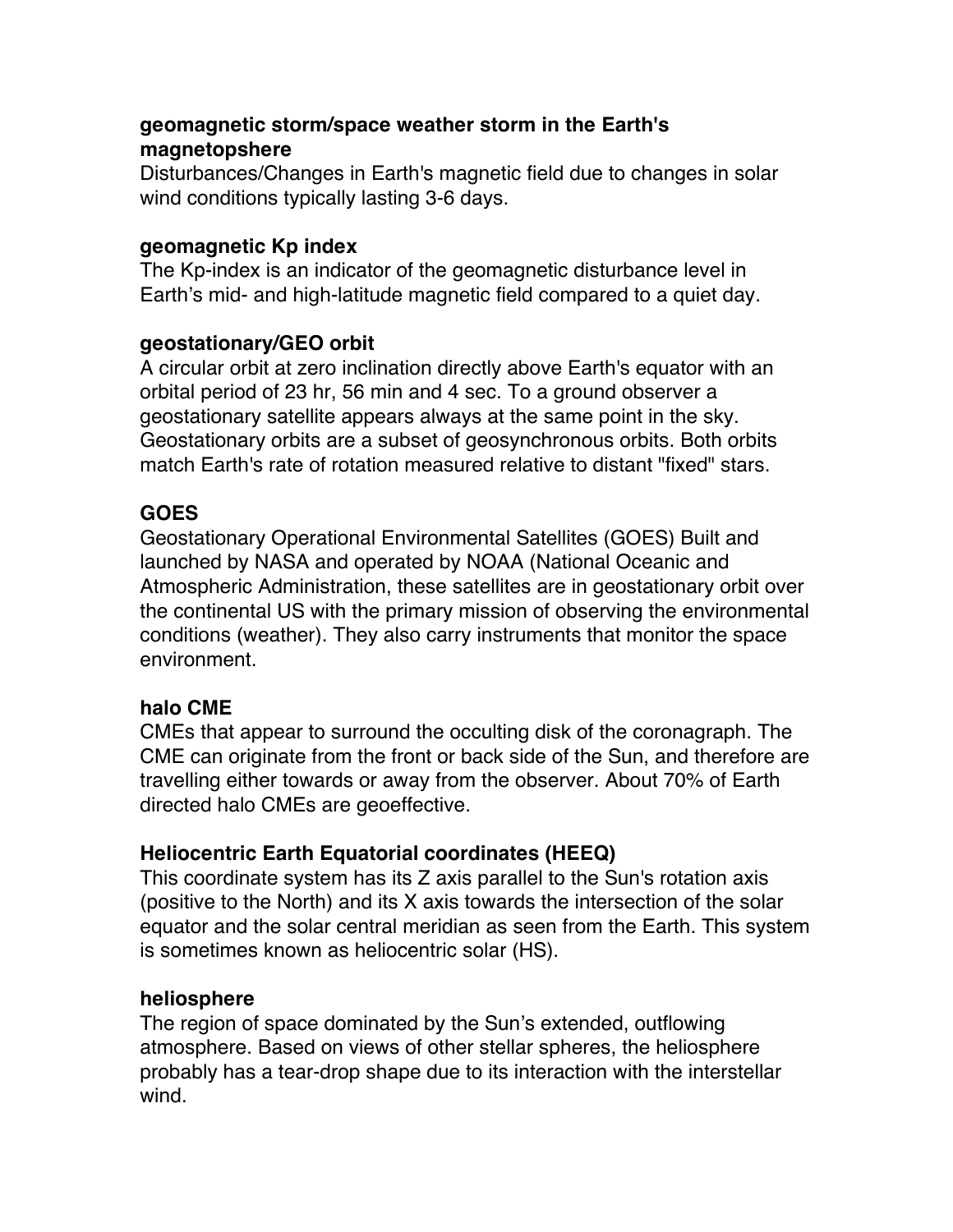# **geomagnetic storm/space weather storm in the Earth's magnetopshere**

Disturbances/Changes in Earth's magnetic field due to changes in solar wind conditions typically lasting 3-6 days.

## **geomagnetic Kp index**

The Kp-index is an indicator of the geomagnetic disturbance level in Earth's mid- and high-latitude magnetic field compared to a quiet day.

## **geostationary/GEO orbit**

A circular orbit at zero inclination directly above Earth's equator with an orbital period of 23 hr, 56 min and 4 sec. To a ground observer a geostationary satellite appears always at the same point in the sky. Geostationary orbits are a subset of geosynchronous orbits. Both orbits match Earth's rate of rotation measured relative to distant "fixed" stars.

# **GOES**

Geostationary Operational Environmental Satellites (GOES) Built and launched by NASA and operated by NOAA (National Oceanic and Atmospheric Administration, these satellites are in geostationary orbit over the continental US with the primary mission of observing the environmental conditions (weather). They also carry instruments that monitor the space environment.

## **halo CME**

CMEs that appear to surround the occulting disk of the coronagraph. The CME can originate from the front or back side of the Sun, and therefore are travelling either towards or away from the observer. About 70% of Earth directed halo CMEs are geoeffective.

# **Heliocentric Earth Equatorial coordinates (HEEQ)**

This coordinate system has its Z axis parallel to the Sun's rotation axis (positive to the North) and its X axis towards the intersection of the solar equator and the solar central meridian as seen from the Earth. This system is sometimes known as heliocentric solar (HS).

## **heliosphere**

The region of space dominated by the Sun's extended, outflowing atmosphere. Based on views of other stellar spheres, the heliosphere probably has a tear-drop shape due to its interaction with the interstellar wind.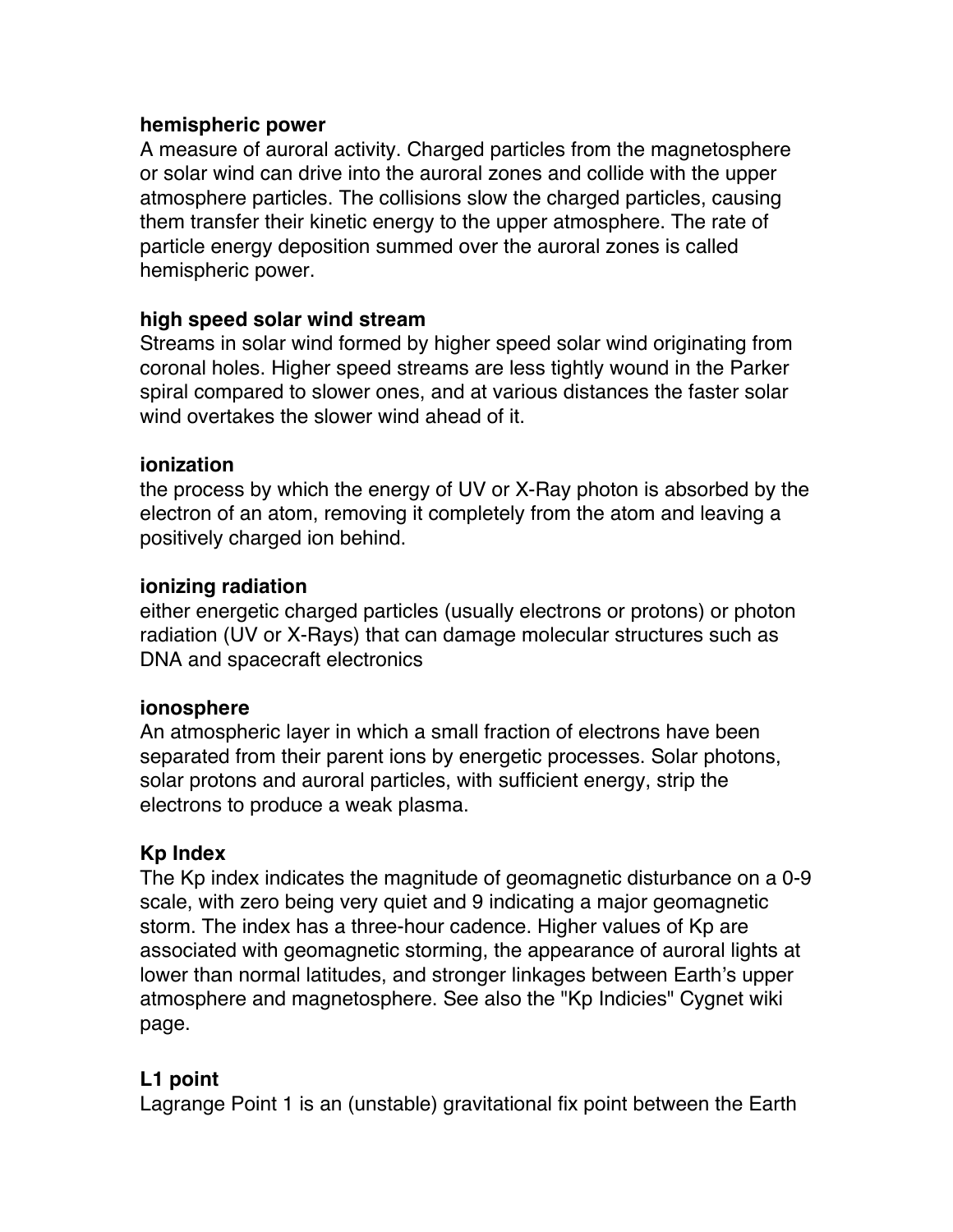## **hemispheric power**

A measure of auroral activity. Charged particles from the magnetosphere or solar wind can drive into the auroral zones and collide with the upper atmosphere particles. The collisions slow the charged particles, causing them transfer their kinetic energy to the upper atmosphere. The rate of particle energy deposition summed over the auroral zones is called hemispheric power.

## **high speed solar wind stream**

Streams in solar wind formed by higher speed solar wind originating from coronal holes. Higher speed streams are less tightly wound in the Parker spiral compared to slower ones, and at various distances the faster solar wind overtakes the slower wind ahead of it.

#### **ionization**

the process by which the energy of UV or X-Ray photon is absorbed by the electron of an atom, removing it completely from the atom and leaving a positively charged ion behind.

#### **ionizing radiation**

either energetic charged particles (usually electrons or protons) or photon radiation (UV or X-Rays) that can damage molecular structures such as DNA and spacecraft electronics

## **ionosphere**

An atmospheric layer in which a small fraction of electrons have been separated from their parent ions by energetic processes. Solar photons, solar protons and auroral particles, with sufficient energy, strip the electrons to produce a weak plasma.

## **Kp Index**

The Kp index indicates the magnitude of geomagnetic disturbance on a 0-9 scale, with zero being very quiet and 9 indicating a major geomagnetic storm. The index has a three-hour cadence. Higher values of Kp are associated with geomagnetic storming, the appearance of auroral lights at lower than normal latitudes, and stronger linkages between Earth's upper atmosphere and magnetosphere. See also the "Kp Indicies" Cygnet wiki page.

## **L1 point**

Lagrange Point 1 is an (unstable) gravitational fix point between the Earth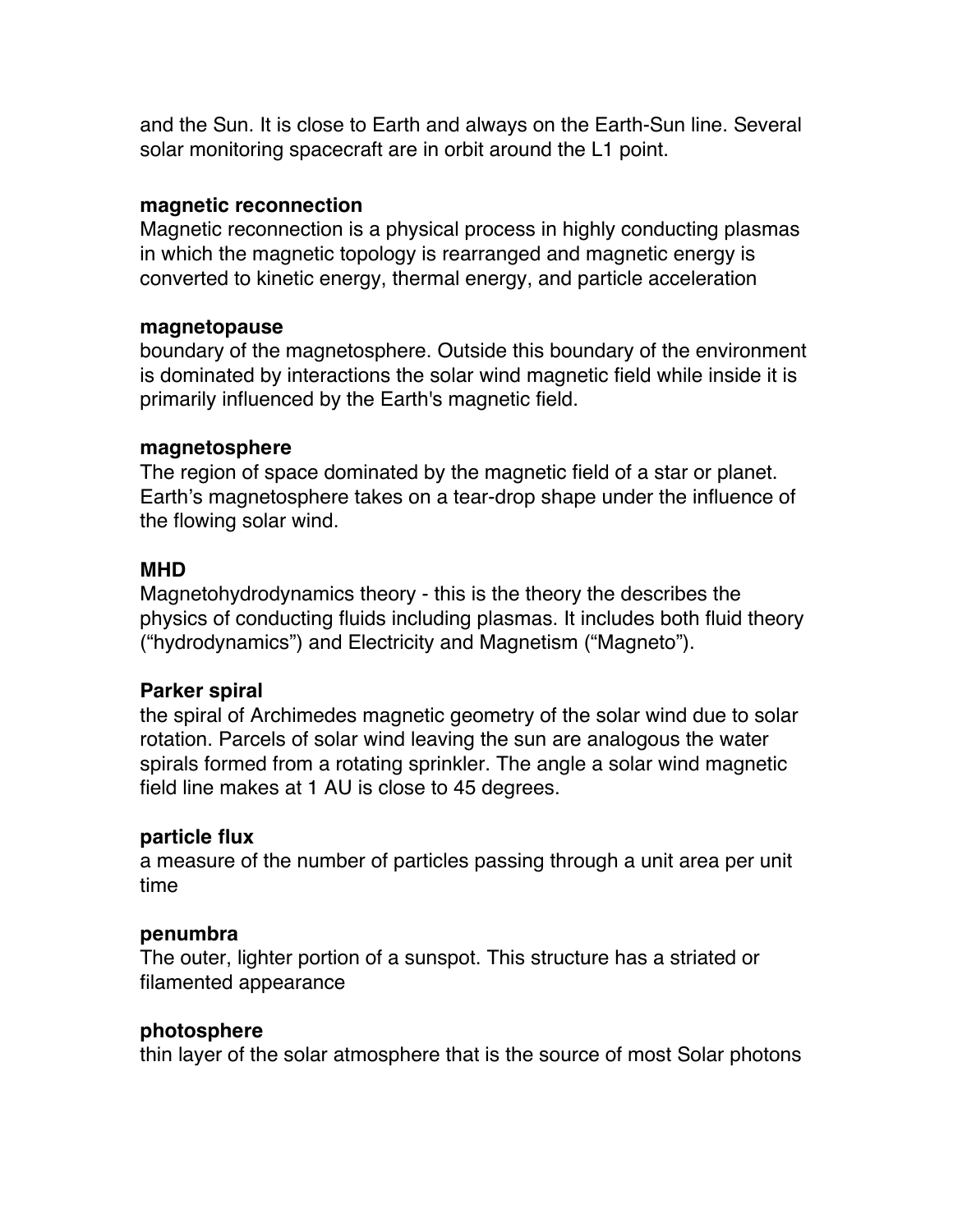and the Sun. It is close to Earth and always on the Earth-Sun line. Several solar monitoring spacecraft are in orbit around the L1 point.

#### **magnetic reconnection**

Magnetic reconnection is a physical process in highly conducting plasmas in which the magnetic topology is rearranged and magnetic energy is converted to kinetic energy, thermal energy, and particle acceleration

#### **magnetopause**

boundary of the magnetosphere. Outside this boundary of the environment is dominated by interactions the solar wind magnetic field while inside it is primarily influenced by the Earth's magnetic field.

#### **magnetosphere**

The region of space dominated by the magnetic field of a star or planet. Earth's magnetosphere takes on a tear-drop shape under the influence of the flowing solar wind.

#### **MHD**

Magnetohydrodynamics theory - this is the theory the describes the physics of conducting fluids including plasmas. It includes both fluid theory ("hydrodynamics") and Electricity and Magnetism ("Magneto").

#### **Parker spiral**

the spiral of Archimedes magnetic geometry of the solar wind due to solar rotation. Parcels of solar wind leaving the sun are analogous the water spirals formed from a rotating sprinkler. The angle a solar wind magnetic field line makes at 1 AU is close to 45 degrees.

#### **particle flux**

a measure of the number of particles passing through a unit area per unit time

#### **penumbra**

The outer, lighter portion of a sunspot. This structure has a striated or filamented appearance

#### **photosphere**

thin layer of the solar atmosphere that is the source of most Solar photons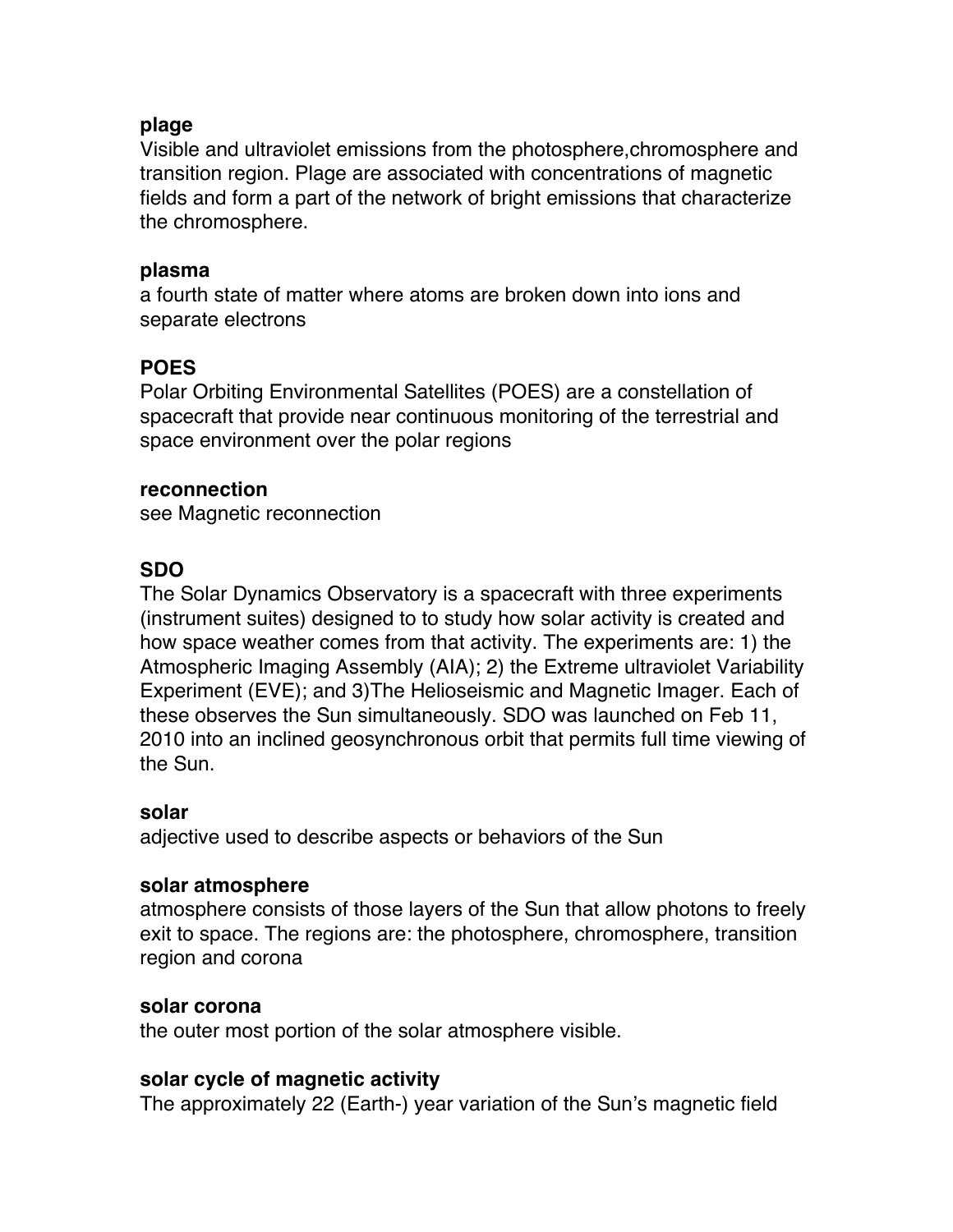## **plage**

Visible and ultraviolet emissions from the photosphere,chromosphere and transition region. Plage are associated with concentrations of magnetic fields and form a part of the network of bright emissions that characterize the chromosphere.

#### **plasma**

a fourth state of matter where atoms are broken down into ions and separate electrons

# **POES**

Polar Orbiting Environmental Satellites (POES) are a constellation of spacecraft that provide near continuous monitoring of the terrestrial and space environment over the polar regions

## **reconnection**

see Magnetic reconnection

# **SDO**

The Solar Dynamics Observatory is a spacecraft with three experiments (instrument suites) designed to to study how solar activity is created and how space weather comes from that activity. The experiments are: 1) the Atmospheric Imaging Assembly (AIA); 2) the Extreme ultraviolet Variability Experiment (EVE); and 3)The Helioseismic and Magnetic Imager. Each of these observes the Sun simultaneously. SDO was launched on Feb 11, 2010 into an inclined geosynchronous orbit that permits full time viewing of the Sun.

## **solar**

adjective used to describe aspects or behaviors of the Sun

## **solar atmosphere**

atmosphere consists of those layers of the Sun that allow photons to freely exit to space. The regions are: the photosphere, chromosphere, transition region and corona

## **solar corona**

the outer most portion of the solar atmosphere visible.

## **solar cycle of magnetic activity**

The approximately 22 (Earth-) year variation of the Sun's magnetic field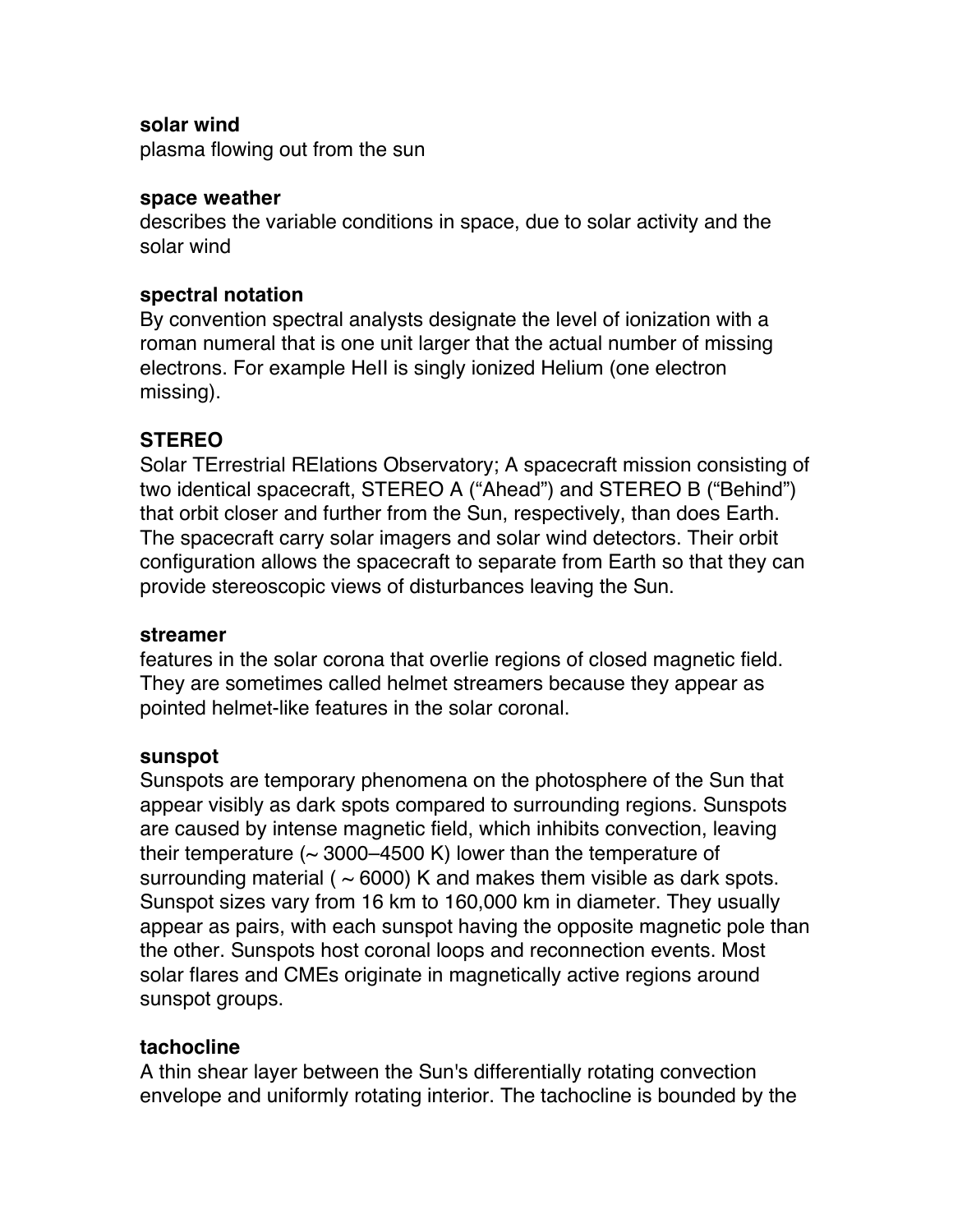#### **solar wind**

plasma flowing out from the sun

#### **space weather**

describes the variable conditions in space, due to solar activity and the solar wind

#### **spectral notation**

By convention spectral analysts designate the level of ionization with a roman numeral that is one unit larger that the actual number of missing electrons. For example HeII is singly ionized Helium (one electron missing).

## **STEREO**

Solar TErrestrial RElations Observatory; A spacecraft mission consisting of two identical spacecraft, STEREO A ("Ahead") and STEREO B ("Behind") that orbit closer and further from the Sun, respectively, than does Earth. The spacecraft carry solar imagers and solar wind detectors. Their orbit configuration allows the spacecraft to separate from Earth so that they can provide stereoscopic views of disturbances leaving the Sun.

#### **streamer**

features in the solar corona that overlie regions of closed magnetic field. They are sometimes called helmet streamers because they appear as pointed helmet-like features in the solar coronal.

#### **sunspot**

Sunspots are temporary phenomena on the photosphere of the Sun that appear visibly as dark spots compared to surrounding regions. Sunspots are caused by intense magnetic field, which inhibits convection, leaving their temperature  $($   $\sim$  3000–4500 K) lower than the temperature of surrounding material ( $\sim$  6000) K and makes them visible as dark spots. Sunspot sizes vary from 16 km to 160,000 km in diameter. They usually appear as pairs, with each sunspot having the opposite magnetic pole than the other. Sunspots host coronal loops and reconnection events. Most solar flares and CMEs originate in magnetically active regions around sunspot groups.

## **tachocline**

A thin shear layer between the Sun's differentially rotating convection envelope and uniformly rotating interior. The tachocline is bounded by the